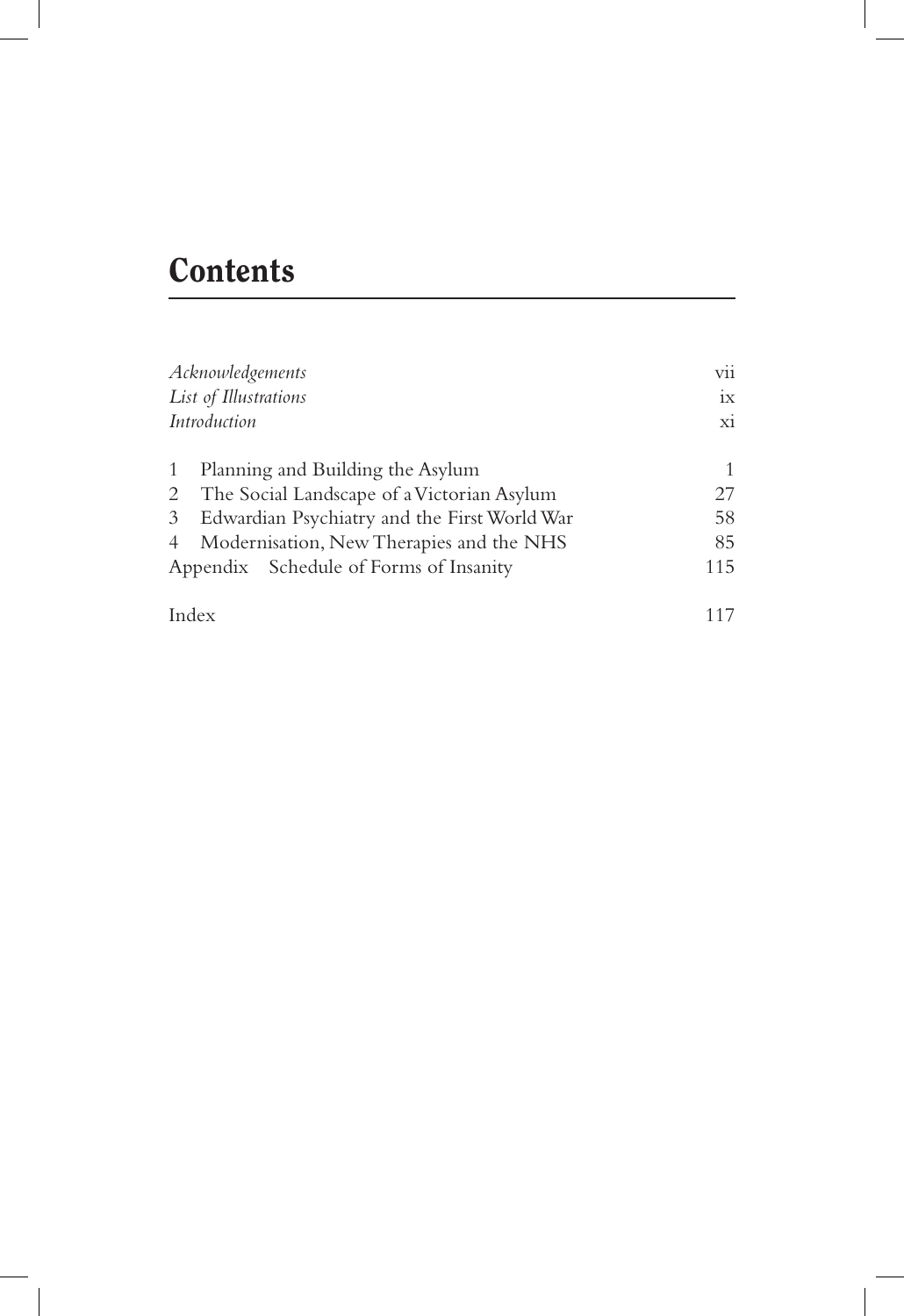## **Contents**

| Acknowledgements                                               | $\cdot \cdot$<br>V11 |
|----------------------------------------------------------------|----------------------|
| List of Illustrations                                          | ix                   |
| Introduction                                                   | xi                   |
| Planning and Building the Asylum<br>1                          |                      |
| $\overline{2}$<br>The Social Landscape of a Victorian Asylum   | 27                   |
| Edwardian Psychiatry and the First World War<br>3 <sup>7</sup> | 58                   |
| Modernisation, New Therapies and the NHS<br>4                  | 85                   |
| Appendix Schedule of Forms of Insanity                         | 115                  |
| Index                                                          |                      |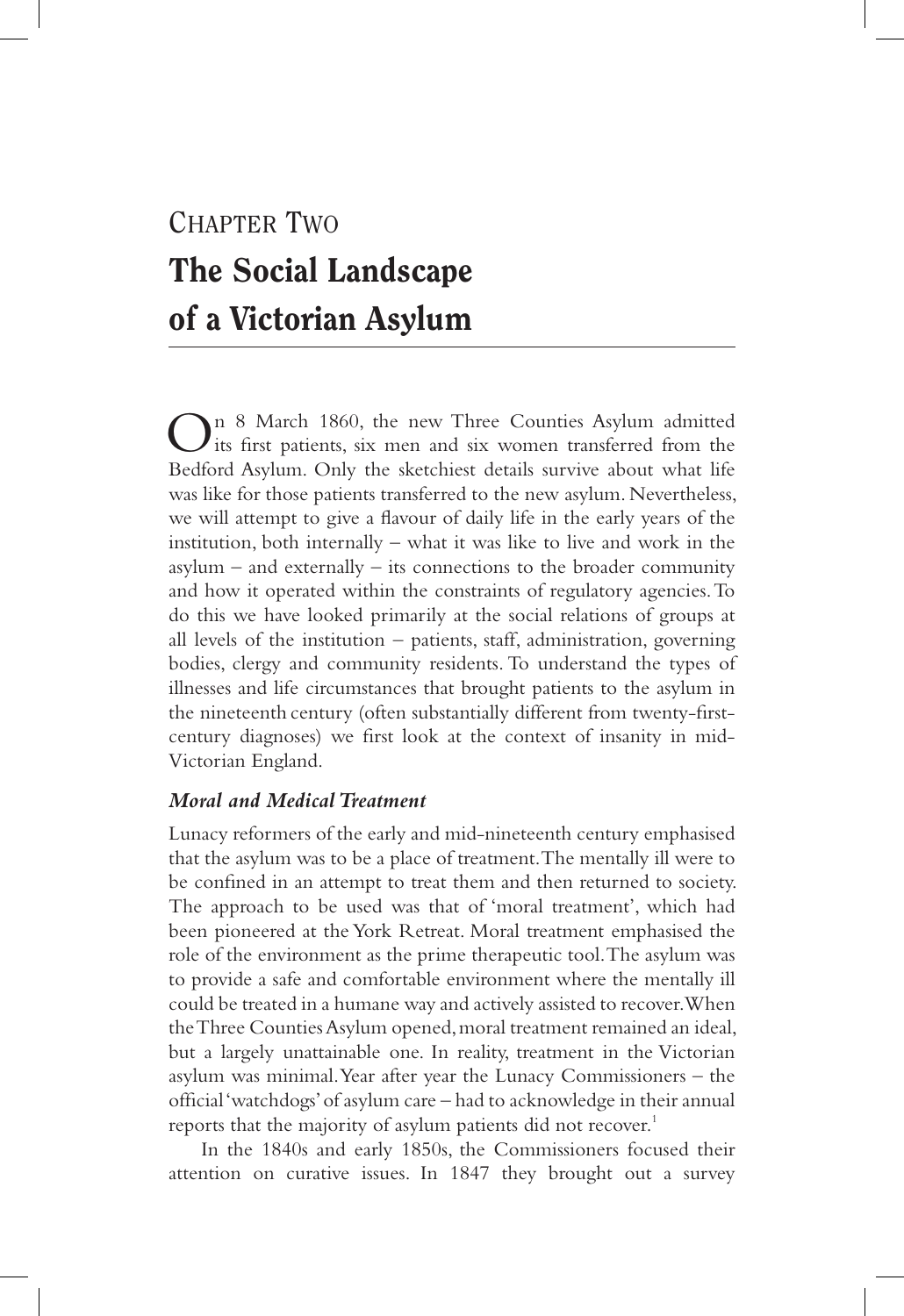## CHAPTER TWO The Social Landscape of a Victorian Asylum

On 8 March 1860, the new Three Counties Asylum admitted its first patients, six men and six women transferred from the Bedford Asylum. Only the sketchiest details survive about what life was like for those patients transferred to the new asylum. Nevertheless, we will attempt to give a flavour of daily life in the early years of the institution, both internally – what it was like to live and work in the  $asylum - and externally - its connections to the broader community$ and how it operated within the constraints of regulatory agencies. To do this we have looked primarily at the social relations of groups at all levels of the institution – patients, staff, administration, governing bodies, clergy and community residents. To understand the types of illnesses and life circumstances that brought patients to the asylum in the nineteenth century (often substantially different from twenty-firstcentury diagnoses) we first look at the context of insanity in mid-Victorian England.

## *Moral and Medical Treatment*

Lunacy reformers of the early and mid-nineteenth century emphasised that the asylum was to be a place of treatment. The mentally ill were to be confined in an attempt to treat them and then returned to society. The approach to be used was that of 'moral treatment', which had been pioneered at the York Retreat. Moral treatment emphasised the role of the environment as the prime therapeutic tool. The asylum was to provide a safe and comfortable environment where the mentally ill could be treated in a humane way and actively assisted to recover. When the Three Counties Asylum opened, moral treatment remained an ideal, but a largely unattainable one. In reality, treatment in the Victorian asylum was minimal. Year after year the Lunacy Commissioners – the official 'watchdogs' of asylum care – had to acknowledge in their annual reports that the majority of asylum patients did not recover.<sup>1</sup>

In the 1840s and early 1850s, the Commissioners focused their attention on curative issues. In 1847 they brought out a survey